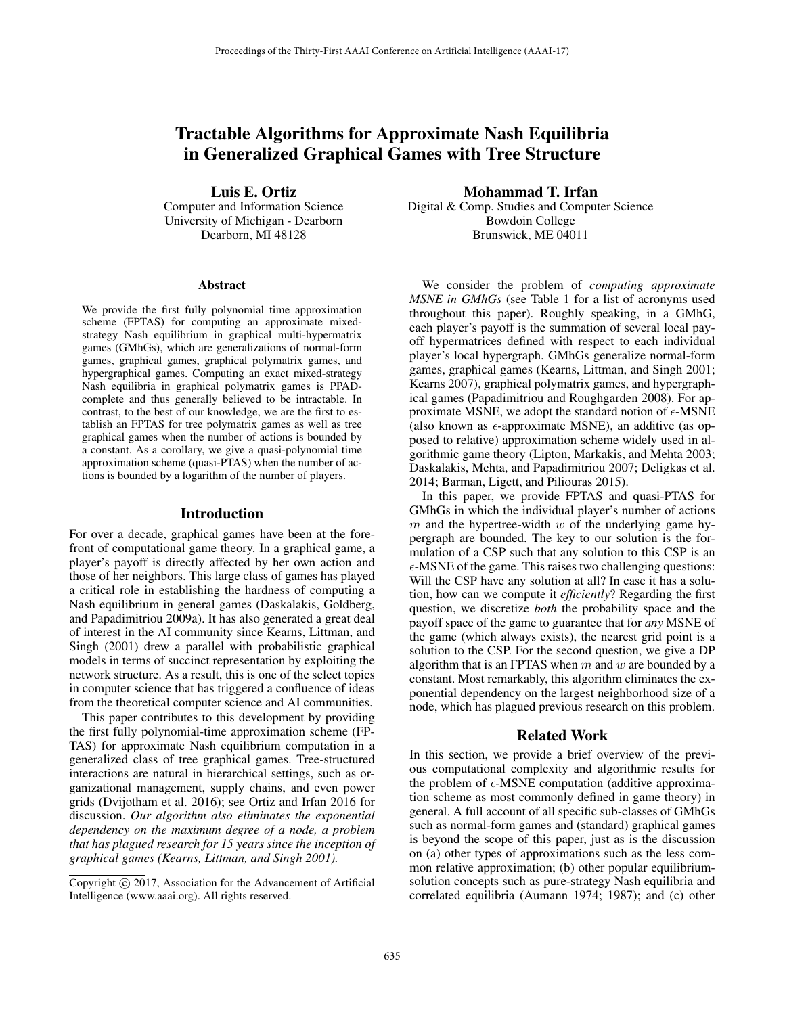# Tractable Algorithms for Approximate Nash Equilibria in Generalized Graphical Games with Tree Structure

Luis E. Ortiz

Computer and Information Science University of Michigan - Dearborn Dearborn, MI 48128

#### Abstract

We provide the first fully polynomial time approximation scheme (FPTAS) for computing an approximate mixedstrategy Nash equilibrium in graphical multi-hypermatrix games (GMhGs), which are generalizations of normal-form games, graphical games, graphical polymatrix games, and hypergraphical games. Computing an exact mixed-strategy Nash equilibria in graphical polymatrix games is PPADcomplete and thus generally believed to be intractable. In contrast, to the best of our knowledge, we are the first to establish an FPTAS for tree polymatrix games as well as tree graphical games when the number of actions is bounded by a constant. As a corollary, we give a quasi-polynomial time approximation scheme (quasi-PTAS) when the number of actions is bounded by a logarithm of the number of players.

### Introduction

For over a decade, graphical games have been at the forefront of computational game theory. In a graphical game, a player's payoff is directly affected by her own action and those of her neighbors. This large class of games has played a critical role in establishing the hardness of computing a Nash equilibrium in general games (Daskalakis, Goldberg, and Papadimitriou 2009a). It has also generated a great deal of interest in the AI community since Kearns, Littman, and Singh (2001) drew a parallel with probabilistic graphical models in terms of succinct representation by exploiting the network structure. As a result, this is one of the select topics in computer science that has triggered a confluence of ideas from the theoretical computer science and AI communities.

This paper contributes to this development by providing the first fully polynomial-time approximation scheme (FP-TAS) for approximate Nash equilibrium computation in a generalized class of tree graphical games. Tree-structured interactions are natural in hierarchical settings, such as organizational management, supply chains, and even power grids (Dvijotham et al. 2016); see Ortiz and Irfan 2016 for discussion. *Our algorithm also eliminates the exponential dependency on the maximum degree of a node, a problem that has plagued research for 15 years since the inception of graphical games (Kearns, Littman, and Singh 2001).*

Mohammad T. Irfan

Digital & Comp. Studies and Computer Science Bowdoin College Brunswick, ME 04011

We consider the problem of *computing approximate MSNE in GMhGs* (see Table 1 for a list of acronyms used throughout this paper). Roughly speaking, in a GMhG, each player's payoff is the summation of several local payoff hypermatrices defined with respect to each individual player's local hypergraph. GMhGs generalize normal-form games, graphical games (Kearns, Littman, and Singh 2001; Kearns 2007), graphical polymatrix games, and hypergraphical games (Papadimitriou and Roughgarden 2008). For approximate MSNE, we adopt the standard notion of  $\epsilon$ -MSNE (also known as  $\epsilon$ -approximate MSNE), an additive (as opposed to relative) approximation scheme widely used in algorithmic game theory (Lipton, Markakis, and Mehta 2003; Daskalakis, Mehta, and Papadimitriou 2007; Deligkas et al. 2014; Barman, Ligett, and Piliouras 2015).

In this paper, we provide FPTAS and quasi-PTAS for GMhGs in which the individual player's number of actions  $m$  and the hypertree-width  $w$  of the underlying game hypergraph are bounded. The key to our solution is the formulation of a CSP such that any solution to this CSP is an  $\epsilon$ -MSNE of the game. This raises two challenging questions: Will the CSP have any solution at all? In case it has a solution, how can we compute it *efficiently*? Regarding the first question, we discretize *both* the probability space and the payoff space of the game to guarantee that for *any* MSNE of the game (which always exists), the nearest grid point is a solution to the CSP. For the second question, we give a DP algorithm that is an FPTAS when  $m$  and  $w$  are bounded by a constant. Most remarkably, this algorithm eliminates the exponential dependency on the largest neighborhood size of a node, which has plagued previous research on this problem.

### Related Work

In this section, we provide a brief overview of the previous computational complexity and algorithmic results for the problem of  $\epsilon$ -MSNE computation (additive approximation scheme as most commonly defined in game theory) in general. A full account of all specific sub-classes of GMhGs such as normal-form games and (standard) graphical games is beyond the scope of this paper, just as is the discussion on (a) other types of approximations such as the less common relative approximation; (b) other popular equilibriumsolution concepts such as pure-strategy Nash equilibria and correlated equilibria (Aumann 1974; 1987); and (c) other

Copyright  $\odot$  2017, Association for the Advancement of Artificial Intelligence (www.aaai.org). All rights reserved.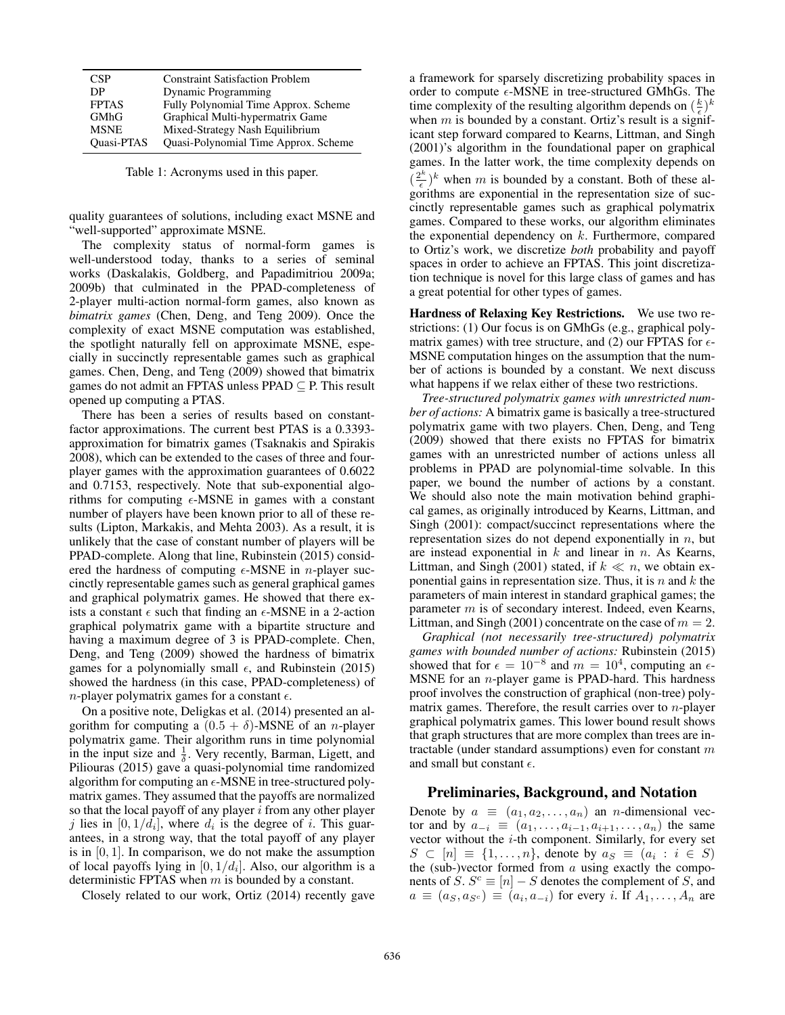| <b>CSP</b>        | <b>Constraint Satisfaction Problem</b> |
|-------------------|----------------------------------------|
| DP                | Dynamic Programming                    |
| <b>FPTAS</b>      | Fully Polynomial Time Approx. Scheme   |
| <b>GMhG</b>       | Graphical Multi-hypermatrix Game       |
| <b>MSNE</b>       | Mixed-Strategy Nash Equilibrium        |
| <b>Ouasi-PTAS</b> | Quasi-Polynomial Time Approx. Scheme   |

Table 1: Acronyms used in this paper.

quality guarantees of solutions, including exact MSNE and "well-supported" approximate MSNE.

The complexity status of normal-form games is well-understood today, thanks to a series of seminal works (Daskalakis, Goldberg, and Papadimitriou 2009a; 2009b) that culminated in the PPAD-completeness of 2-player multi-action normal-form games, also known as *bimatrix games* (Chen, Deng, and Teng 2009). Once the complexity of exact MSNE computation was established, the spotlight naturally fell on approximate MSNE, especially in succinctly representable games such as graphical games. Chen, Deng, and Teng (2009) showed that bimatrix games do not admit an FPTAS unless PPAD ⊆ P. This result opened up computing a PTAS.

There has been a series of results based on constantfactor approximations. The current best PTAS is a 0.3393 approximation for bimatrix games (Tsaknakis and Spirakis 2008), which can be extended to the cases of three and fourplayer games with the approximation guarantees of 0.6022 and 0.7153, respectively. Note that sub-exponential algorithms for computing  $\epsilon$ -MSNE in games with a constant number of players have been known prior to all of these results (Lipton, Markakis, and Mehta 2003). As a result, it is unlikely that the case of constant number of players will be PPAD-complete. Along that line, Rubinstein (2015) considered the hardness of computing  $\epsilon$ -MSNE in *n*-player succinctly representable games such as general graphical games and graphical polymatrix games. He showed that there exists a constant  $\epsilon$  such that finding an  $\epsilon$ -MSNE in a 2-action graphical polymatrix game with a binartite structure and graphical polymatrix game with a bipartite structure and having a maximum degree of 3 is PPAD-complete. Chen, Deng, and Teng (2009) showed the hardness of bimatrix games for a polynomially small  $\epsilon$ , and Rubinstein (2015) showed the hardness (in this case, PPAD-completeness) of *n*-player polymatrix games for a constant  $\epsilon$ .

On a positive note, Deligkas et al. (2014) presented an algorithm for computing a  $(0.5 + \delta)$ -MSNE of an *n*-player polymatrix game. Their algorithm runs in time polynomial in the input size and  $\frac{1}{\delta}$ . Very recently, Barman, Ligett, and Piliouras (2015) gave a quasi-polynomial time randomized algorithm for computing an  $\epsilon$ -MSNE in tree-structured polymatrix games. They assumed that the payoffs are normalized so that the local payoff of any player  $i$  from any other player j lies in  $[0, 1/d_i]$ , where  $d_i$  is the degree of i. This guarantees, in a strong way, that the total payoff of any player is in  $[0, 1]$ . In comparison, we do not make the assumption of local payoffs lying in  $[0, 1/d_i]$ . Also, our algorithm is a deterministic FPTAS when  $m$  is bounded by a constant.

Closely related to our work, Ortiz (2014) recently gave

a framework for sparsely discretizing probability spaces in order to compute  $\epsilon$ -MSNE in tree-structured GMhGs. The time complexity of the resulting algorithm depends on  $(\frac{k}{k})^k$ <br>when m is bounded by a constant Ortiz's result is a signifwhen  $m$  is bounded by a constant. Ortiz's result is a significant step forward compared to Kearns, Littman, and Singh (2001)'s algorithm in the foundational paper on graphical games. In the latter work, the time complexity depends on  $(\frac{2^k}{\epsilon})^k$  when m is bounded by a constant. Both of these algebraiched  $\frac{2^k}{\epsilon}$  of sucgorithms are exponential in the representation size of succinctly representable games such as graphical polymatrix games. Compared to these works, our algorithm eliminates the exponential dependency on  $k$ . Furthermore, compared to Ortiz's work, we discretize *both* probability and payoff spaces in order to achieve an FPTAS. This joint discretization technique is novel for this large class of games and has a great potential for other types of games.

Hardness of Relaxing Key Restrictions. We use two restrictions: (1) Our focus is on GMhGs (e.g., graphical polymatrix games) with tree structure, and (2) our FPTAS for  $\epsilon$ -MSNE computation hinges on the assumption that the number of actions is bounded by a constant. We next discuss what happens if we relax either of these two restrictions.

*Tree-structured polymatrix games with unrestricted number of actions:* A bimatrix game is basically a tree-structured polymatrix game with two players. Chen, Deng, and Teng (2009) showed that there exists no FPTAS for bimatrix games with an unrestricted number of actions unless all problems in PPAD are polynomial-time solvable. In this paper, we bound the number of actions by a constant. We should also note the main motivation behind graphical games, as originally introduced by Kearns, Littman, and Singh (2001): compact/succinct representations where the representation sizes do not depend exponentially in  $n$ , but are instead exponential in  $k$  and linear in  $n$ . As Kearns, Littman, and Singh (2001) stated, if  $k \ll n$ , we obtain exponential gains in representation size. Thus, it is  $n$  and  $k$  the parameters of main interest in standard graphical games; the parameter  $m$  is of secondary interest. Indeed, even Kearns, Littman, and Singh (2001) concentrate on the case of  $m = 2$ .

*Graphical (not necessarily tree-structured) polymatrix games with bounded number of actions:* Rubinstein (2015) showed that for  $\epsilon = 10^{-8}$  and  $m = 10^4$ , computing an  $\epsilon$ -<br>MSNE for an *n*-player game is PPAD-hard. This hardness MSNE for an *n*-player game is PPAD-hard. This hardness proof involves the construction of graphical (non-tree) polymatrix games. Therefore, the result carries over to n-player graphical polymatrix games. This lower bound result shows that graph structures that are more complex than trees are intractable (under standard assumptions) even for constant  $m$ and small but constant  $\epsilon$ .

### Preliminaries, Background, and Notation

Denote by  $a \equiv (a_1, a_2, \ldots, a_n)$  an *n*-dimensional vector and by  $a_{-i} \equiv (a_1, \ldots, a_{i-1}, a_{i+1}, \ldots, a_n)$  the same vector without the  $i$ -th component. Similarly, for every set  $S \subset [n] \equiv \{1, \ldots, n\}$ , denote by  $a_S \equiv (a_i : i \in S)$ the (sub-)vector formed from  $a$  using exactly the components of S.  $S^c \equiv [n] - S$  denotes the complement of S, and  $a \equiv (a_S, a_{S^c}) \equiv (a_i, a_{-i})$  for every i. If  $A_1, \ldots, A_n$  are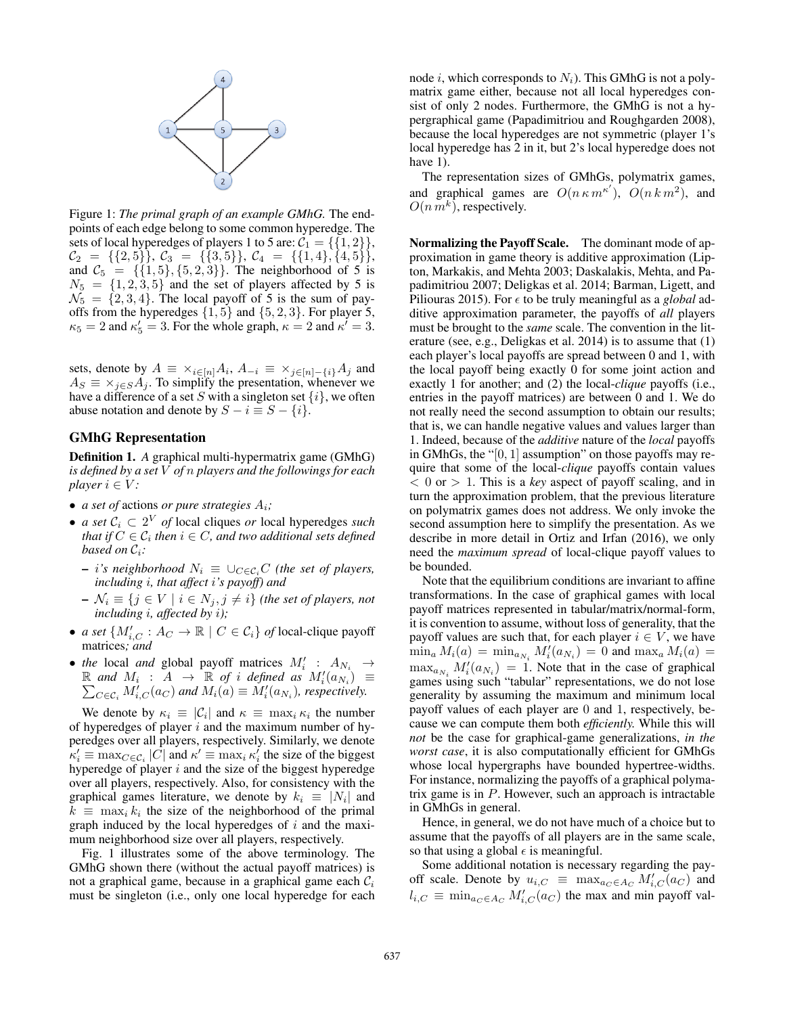

Figure 1: *The primal graph of an example GMhG.* The endpoints of each edge belong to some common hyperedge. The sets of local hyperedges of players 1 to 5 are:  $C_1 = \{\{1, 2\}\}\,$ ,  $\mathcal{C}_2 = \{ \{2, 5\} \}, \ \mathcal{C}_3 = \{ \{3, 5\} \}, \ \mathcal{C}_4 = \{ \{1, 4\} \}, \{ \{4, 5\} \},$ <br>and  $\mathcal{C}_5 = \{ \{1, 5\} \}, \{5, 2, 3\} \}$ . The neighborhood of 5 is and  $C_5 = \{\{1, 5\}, \{5, 2, 3\}\}\.$  The neighborhood of 5 is  $N_5 = \{1, 2, 3, 5\}$  and the set of players affected by 5 is  $N_5 = \{1, 2, 3, 5\}$  and the set of players affected by 5 is  $N_7 = \{2, 3, 4\}$ . The local payoff of 5 is the sum of pay- $\mathcal{N}_5 = \{2, 3, 4\}$ . The local payoff of 5 is the sum of payoffs from the hyperedges  $\{1, 5\}$  and  $\{5, 2, 3\}$ . For player 5,  $\kappa_5 = 2$  and  $\kappa'_5 = 3$ . For the whole graph,  $\kappa = 2$  and  $\kappa' = 3$ .

sets, denote by  $A \equiv \times_{i \in [n]} A_i$ ,  $A_{-i} \equiv \times_{j \in [n] - \{i\}} A_j$  and  $A_S \equiv \times_{j \in S} A_j$ . To simplify the presentation, whenever we have a difference of a set S with a singleton set  $\{i\}$ , we often abuse notation and denote by  $S - i \equiv S - \{i\}.$ 

### GMhG Representation

Definition 1. *A* graphical multi-hypermatrix game (GMhG) *is defined by a set* V *of* n *players and the followings for each player*  $i \in V$ *:* 

- *a set of* actions *or pure strategies*  $A_i$ ;
- *a set* <sup>C</sup><sup>i</sup> <sup>⊂</sup> <sup>2</sup><sup>V</sup> *of* local cliques *or* local hyperedges *such that if*  $C \in \mathcal{C}_i$  *then*  $i \in C$ *, and two additional sets defined based on*  $C_i$ *:* 
	- $− i's$  neighborhood  $N_i ≡ ∪_{C∈C_i}C$  (the set of players, *including* i*, that affect* i*'s payoff) and*
	- $−\mathcal{N}_i \equiv \{j \in V \mid i \in N_j, j \neq i\}$  *(the set of players, not including i, affected by i*);
- *a set*  $\{M'_{i,C} : A_C \to \mathbb{R} \mid C \in C_i\}$  *of* local-clique payoff matrices: *and* matrices*; and*
- *the* local *and* global payoff matrices  $M'_i$  :  $A_{N_i} \rightarrow \mathbb{R}$  *and*  $M_i$   $\rightarrow$   $\mathbb{R}$  *of i defined as*  $M'(a_N) =$  $\mathbb{R}$  and  $M_i$  :  $\overrightarrow{A}$   $\rightarrow$   $\overrightarrow{\mathbb{R}}$  of *i* defined as  $M_i'(a_{N_i}) \equiv$ <br> $\sum_{G \subseteq C} M_i'(a_G)$  and  $M_i(a) \equiv M_i'(a_N)$ , respectively.  $\sum_{C \in \mathcal{C}_i} M_{i,C}^{\gamma}(a_C)$  and  $M_i(a) \equiv M_i'(a_{N_i})$ , respectively.

We denote by  $\kappa_i \equiv |\mathcal{C}_i|$  and  $\kappa \equiv \max_i \kappa_i$  the number of hyperedges of player  $i$  and the maximum number of hyperedges over all players, respectively. Similarly, we denote  $\kappa'_i \equiv \max_{C \in \mathcal{C}_i} |C|$  and  $\kappa' \equiv \max_i \kappa'_i$  the size of the biggest hyperedge of player *i* and the size of the biggest hyperedge hyperedge of player  $i$  and the size of the biggest hyperedge over all players, respectively. Also, for consistency with the graphical games literature, we denote by  $k_i \equiv |N_i|$  and  $k \equiv \max_i k_i$  the size of the neighborhood of the primal graph induced by the local hyperedges of  $i$  and the maximum neighborhood size over all players, respectively.

Fig. 1 illustrates some of the above terminology. The GMhG shown there (without the actual payoff matrices) is not a graphical game, because in a graphical game each  $C_i$ must be singleton (i.e., only one local hyperedge for each

node *i*, which corresponds to  $N_i$ ). This GMhG is not a polymatrix game either, because not all local hyperedges consist of only 2 nodes. Furthermore, the GMhG is not a hypergraphical game (Papadimitriou and Roughgarden 2008), because the local hyperedges are not symmetric (player 1's local hyperedge has 2 in it, but 2's local hyperedge does not have 1).

The representation sizes of GMhGs, polymatrix games, and graphical games are  $O(n \kappa m^{\kappa'})$ ,  $O(n \kappa m^2)$ , and  $O(n m^k)$  respectively  $O(n m^k)$ , respectively.

Normalizing the Payoff Scale. The dominant mode of approximation in game theory is additive approximation (Lipton, Markakis, and Mehta 2003; Daskalakis, Mehta, and Papadimitriou 2007; Deligkas et al. 2014; Barman, Ligett, and Piliouras 2015). For  $\epsilon$  to be truly meaningful as a *global* additive approximation parameter, the payoffs of *all* players must be brought to the *same* scale. The convention in the literature (see, e.g., Deligkas et al. 2014) is to assume that (1) each player's local payoffs are spread between 0 and 1, with the local payoff being exactly 0 for some joint action and exactly 1 for another; and (2) the local-*clique* payoffs (i.e., entries in the payoff matrices) are between 0 and 1. We do not really need the second assumption to obtain our results; that is, we can handle negative values and values larger than 1. Indeed, because of the *additive* nature of the *local* payoffs in GMhGs, the "[0, 1] assumption" on those payoffs may require that some of the local-*clique* payoffs contain values <sup>&</sup>lt; 0 or <sup>&</sup>gt; 1. This is a *key* aspect of payoff scaling, and in turn the approximation problem, that the previous literature on polymatrix games does not address. We only invoke the second assumption here to simplify the presentation. As we describe in more detail in Ortiz and Irfan (2016), we only need the *maximum spread* of local-clique payoff values to be bounded.

Note that the equilibrium conditions are invariant to affine transformations. In the case of graphical games with local payoff matrices represented in tabular/matrix/normal-form, it is convention to assume, without loss of generality, that the payoff values are such that, for each player  $i \in V$ , we have  $\min_a M_i(a) = \min_{a_{N_i}} M'_i(a_{N_i}) = 0$  and  $\max_a M_i(a) =$ <br>may  $M'(a_{N_i}) = 1$ . Note that in the case of graphical  $\max_{a_{N_i}} M_i'(a_{N_i}) = 1$ . Note that in the case of graphical<br>games using such "tabular" representations we do not lose games using such "tabular" representations, we do not lose generality by assuming the maximum and minimum local payoff values of each player are 0 and 1, respectively, because we can compute them both *efficiently.* While this will *not* be the case for graphical-game generalizations, *in the worst case*, it is also computationally efficient for GMhGs whose local hypergraphs have bounded hypertree-widths. For instance, normalizing the payoffs of a graphical polymatrix game is in  $P$ . However, such an approach is intractable in GMhGs in general.

Hence, in general, we do not have much of a choice but to assume that the payoffs of all players are in the same scale, so that using a global  $\epsilon$  is meaningful.

Some additional notation is necessary regarding the payoff scale. Denote by  $u_{i,C} \equiv \max_{a_C \in A_C} M'_{i,C}(a_C)$  and<br>  $u_{i,C} = \min_{a_C \in A_C} M'_{i,C}(a_C)$  the max and min payoff values  $l_{i,C} \equiv \min_{a_C \in A_C} M'_{i,C}(a_C)$  the max and min payoff val-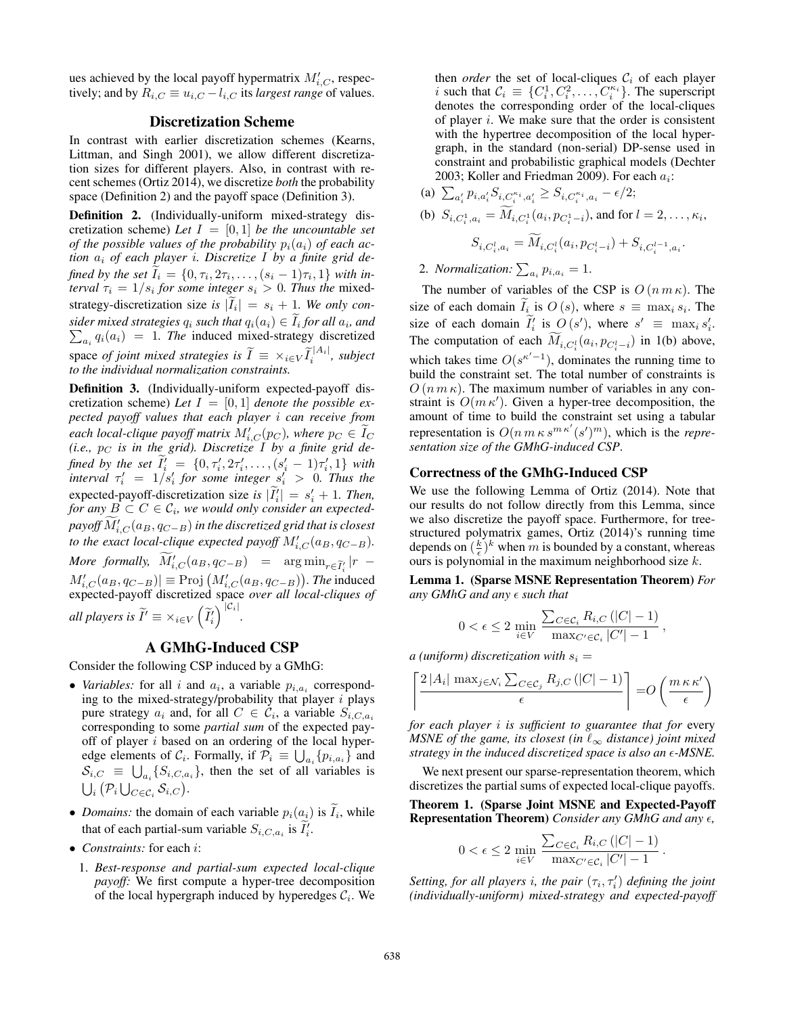ues achieved by the local payoff hypermatrix  $M'_{i,C}$ , respectively; and by  $R_{i,C} \equiv u_{i,C} - l_{i,C}$  its *largest range* of values.

### Discretization Scheme

In contrast with earlier discretization schemes (Kearns, Littman, and Singh 2001), we allow different discretization sizes for different players. Also, in contrast with recent schemes (Ortiz 2014), we discretize *both* the probability space (Definition 2) and the payoff space (Definition 3).

**Definition 2.** (Individually-uniform mixed-strategy discretization scheme) Let  $I = [0, 1]$  be the uncountable set *of the possible values of the probability*  $p_i(a_i)$  *of each action*  $a_i$  *of each player i. Discretize I by a finite grid defined by the set*  $\widetilde{I}_i = \{0, \tau_i, 2\tau_i, \ldots, (s_i - 1)\tau_i, 1\}$  *with interval*  $\tau_i = 1/s_i$  for some integer  $s_i > 0$ . Thus the mixed*terval*  $\tau_i = 1/s_i$  *for some integer*  $s_i > 0$ *. Thus the* mixedstrategy-discretization size *is*  $|\tilde{I}_i| = s_i + 1$ *. We only con-*<br> *siden mixed strategies*  $a$ , such that  $a(a) \in \tilde{I}$  for all  $a$ , and *sider mixed strategies*  $q_i$  *such that*  $q_i(a_i) \in \tilde{I}_i$  *for all*  $a_i$ *, and*  $\sum_{a_i(a_i)} = 1$  *The* induced mixed-strategy discretized  $\sum_{a_i} q_i(a_i) = 1$ . The induced mixed-strategy discretized space *of joint mixed strategies is*  $\widetilde{I} \equiv \times_{i \in V} \widetilde{I}_i^{|A_i|}$ , *subject to the individual normalization constraints.*

Definition 3. (Individually-uniform expected-payoff discretization scheme) Let  $I = [0, 1]$  denote the possible ex*pected payoff values that each player* i *can receive from* each local-clique payoff matrix  $M'_{i,C}(p_C)$ , where  $p_C \in \widetilde{I}_C$ <br>(i.e., n<sub>C</sub> is in the grid). Discretize I by a finite grid de- $(i.e., p<sub>C</sub> is in the grid). Discretize I by a finite grid de$ *fined by the set*  $\widetilde{I}'_i = \{0, \tau'_i, 2\tau'_i, \ldots, (s'_i - 1)\tau'_i, 1\}$  *with*<br>*interval*  $\tau'_i = 1/s'_i$  *for some integer*  $s'_i > 0$ . *Thus the*<br>*gynested pounts disordization size is*  $|\widetilde{I}'| = s'_i + 1$ . *Than* expected-payoff-discretization size is  $|\tilde{I}_i'| = s_i' + 1$ . Then,<br>for any  $B \subset C \in \mathcal{C}_i$ , we would only consider an expected*for any*  $\overrightarrow{B} \subset C \in C_i$ , we would only consider an expected- $\widetilde{p}$  payoff  $\widetilde{M}'_{i,C}(a_B, q_{C-B})$  in the discretized grid that is closest<br>to the exact local clique expected payoff  $M'$ , (apple and to the exact local-clique expected payoff  $M'_{i,C}(a_B, q_{C-B})$ . *More formally,*  $\widetilde{M}'_{i,C}(a_B, q_{C-B})$  =  $\arg \min_{r \in \widetilde{I}'_i} |r M'_{i,C}(a_B, q_{C-B}) \equiv \text{Proj}(M'_{i,C}(a_B, q_{C-B}))$ . The induced<br>expected-payoff discretized space *over all local-cliques of* expected-payoff discretized space *over all local-cliques of all players is*  $\widetilde{I}' \equiv \times_{i \in V}$  $\left(\widetilde{I}'_i\right)^{|\mathcal{C}_i|}.$ 

### A GMhG-Induced CSP

Consider the following CSP induced by a GMhG:

- *Variables:* for all i and  $a_i$ , a variable  $p_{i,a_i}$  corresponding to the mixed-strategy/probability that player  $i$  plays pure strategy  $a_i$  and, for all  $C \in \mathcal{C}_i$ , a variable  $S_{i,C,a_i}$ corresponding to some *partial sum* of the expected payoff of player  $i$  based on an ordering of the local hyperedge elements of  $C_i$ . Formally, if  $\overline{P}_i \equiv \bigcup_{a_i} \{p_{i,a_i}\}\$  and  $S_{i,C}$   $\equiv$   $\bigcup_{a_i} \{S_{i,C,a_i}\}\$ , then the set of all variables is  $\bigcup_i \big( \mathcal{P}_i \bigcup_{C \in \mathcal{C}_i} \mathcal{S}_{i,C} \big).$
- *Domains:* the domain of each variable  $p_i(a_i)$  is  $\tilde{I}_i$ , while that of each partial sum variable  $S_i$  is  $\tilde{I}'$ . that of each partial-sum variable  $S_{i,C,a_i}$  is  $\widetilde{I}'_i$ .
- *Constraints:* for each <sup>i</sup>:
	- 1. *Best-response and partial-sum expected local-clique payoff:* We first compute a hyper-tree decomposition of the local hypergraph induced by hyperedges  $C_i$ . We

then *order* the set of local-cliques  $C_i$  of each player i such that  $C_i \equiv \{C_i^1, C_i^2, \ldots, C_i^{\kappa_i}\}$ . The superscript denotes the corresponding order of the local-cliques of player  $i$ . We make sure that the order is consistent with the hypertree decomposition of the local hypergraph, in the standard (non-serial) DP-sense used in constraint and probabilistic graphical models (Dechter

2003; Koller and Friedman 2009). For each  $a_i$ :

(a) 
$$
\sum_{a'_i} p_{i,a'_i} S_{i,C_i^{k_i},a'_i} \geq S_{i,C_i^{k_i},a_i} - \epsilon/2;
$$
  
\n(b)  $S_{i,C_i^1,a_i} = \widetilde{M}_{i,C_i^1}(a_i, p_{C_i^1 - i}),$  and for  $l = 2, ..., \kappa_i$ ,  
\n $S_{i,C_i^1,a_i} = \widetilde{M}_{i,C_i^1}(a_i, p_{C_i^1 - i}) + S_{i,C_i^{l-1},a_i}.$ 

# 2. *Normalization:*  $\sum_{a_i} p_{i,a_i} = 1$ .

The number of variables of the CSP is  $O(n m \kappa)$ . The size of each domain  $\tilde{I}_i$  is  $O(s)$ , where  $s \equiv \max_i s_i$ . The size of each domain  $\tilde{I}'_i$  is  $O(s')$ , where  $s' \equiv \max_i s'_i$ .<br>The computation of each  $\tilde{M}$  (c, x, x) in 1(b) change. The computation of each  $\widetilde{M}_{i,C_i^l}(a_i, p_{C_i^l-i})$  in 1(b) above, which takes time  $O(s^{\kappa'-1})$ , dominates the running time to<br>build the constraint set. The total number of constraints is build the constraint set. The total number of constraints is  $O(n m \kappa)$ . The maximum number of variables in any constraint is  $O(m \kappa')$ . Given a hyper-tree decomposition, the amount of time to build the constraint set using a tabular amount of time to build the constraint set using a tabular representation is  $O(n m \kappa s^{m \kappa'} (s')^m)$ , which is the *representation size of the GMhG-induced CSP sentation size of the GMhG-induced CSP*.

### Correctness of the GMhG-Induced CSP

We use the following Lemma of Ortiz (2014). Note that our results do not follow directly from this Lemma, since we also discretize the payoff space. Furthermore, for treestructured polymatrix games, Ortiz (2014)'s running time depends on  $(\frac{k}{\epsilon})^k$  when m is bounded by a constant, whereas ours is polynomial in the maximum neighborhood size k ours is polynomial in the maximum neighborhood size k.

Lemma 1. (Sparse MSNE Representation Theorem) *For* any  $GMhG$  and any  $\epsilon$  such that

$$
0 < \epsilon \leq 2 \min_{i \in V} \frac{\sum_{C \in \mathcal{C}_i} R_{i,C} \left( |C| - 1 \right)}{\max_{C' \in \mathcal{C}_i} |C'| - 1},
$$

*a* (*uniform*) discretization with  $s_i = \lceil 2|A_i| \max_{i \in \mathcal{N}} \sum_{C \in \mathcal{C}} R_i C_C |C$ 

$$
\left[ \frac{2 |A_i| \max_{j \in \mathcal{N}_i} \sum_{C \in \mathcal{C}_j} R_{j,C} (|C| - 1)}{\epsilon} \right] = O\left(\frac{m \kappa \kappa'}{\epsilon}\right)
$$

*for each player* i *is sufficient to guarantee that for* every *MSNE of the game, its closest (in*  $\ell_{\infty}$  *distance) joint mixed* strategy in the induced discretized space is also an  $\epsilon$ -MSNE.

We next present our sparse-representation theorem, which discretizes the partial sums of expected local-clique payoffs.

Theorem 1. (Sparse Joint MSNE and Expected-Payoff Representation Theorem) Consider any GMhG and any  $\epsilon$ ,

$$
0 < \epsilon \leq 2 \min_{i \in V} \frac{\sum_{C \in \mathcal{C}_i} R_{i,C} \left( |C| - 1 \right)}{\max_{C' \in \mathcal{C}_i} |C'| - 1} \, .
$$

 $Setting, for all players i, the pair  $(\tau_i, \tau'_i)$  defining the joint (individually-uniform) mixed-strategy and expected-navoff$ *(individually-uniform) mixed-strategy and expected-payoff*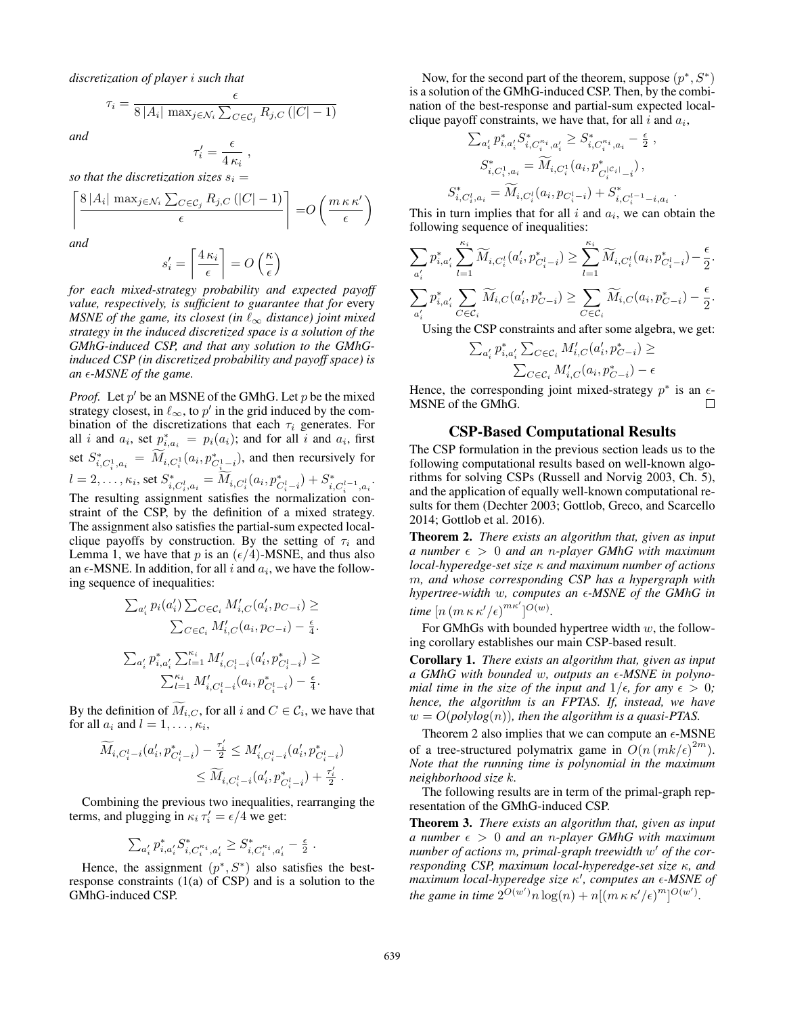*discretization of player* i *such that*

$$
\tau_i = \frac{\epsilon}{8|A_i| \max_{j \in \mathcal{N}_i} \sum_{C \in \mathcal{C}_j} R_{j,C} (|C| - 1)}
$$

*and*

$$
\tau'_i = \frac{\epsilon}{4 \kappa_i} ,
$$

*so that the discretization sizes*  $s_i = \begin{bmatrix} 8 | A_i | \max_{i \in \mathbb{N}} \sum_{i \in \mathbb{Z}} R_i \subset \mathbb{C} \end{bmatrix}$ 

$$
\left\lceil \frac{8|A_i| \max_{j \in \mathcal{N}_i} \sum_{C \in \mathcal{C}_j} R_{j,C} (|C| - 1)}{\epsilon} \right\rceil = O\left(\frac{m \kappa \kappa'}{\epsilon}\right)
$$

*and*

$$
s_i' = \left\lceil \frac{4\,\kappa_i}{\epsilon} \right\rceil = O\left(\frac{\kappa}{\epsilon}\right)
$$

*for each mixed-strategy probability and expected payoff value, respectively, is sufficient to guarantee that for* every *MSNE of the game, its closest (in*  $\ell_{\infty}$  *distance) joint mixed strategy in the induced discretized space is a solution of the GMhG-induced CSP, and that any solution to the GMhGinduced CSP (in discretized probability and payoff space) is* an  $\epsilon$ -MSNE of the game.

*Proof.* Let  $p'$  be an MSNE of the GMhG. Let  $p$  be the mixed strategy closest, in  $\ell_{\infty}$ , to p' in the grid induced by the combination of the discretizations that each  $\tau_i$  generates. For all *i* and  $a_i$ , set  $p_{i,a_i}^* = p_i(a_i)$ ; and for all *i* and  $a_i$ , first set  $S_{i,C_i^1, a_i}^* = \widetilde{M}_{i,C_i^1}(a_i, p_{C_i^1-i}^*)$ , and then recursively for  $l = 2, \ldots, \kappa_i \text{, set } S_{i, C_i^l, a_i}^* = \widetilde{M}_{i, C_i^l} (a_i, p_{C_i^l - i}^*) + S_{i, C_i^{l-1}, a_i}^*.$ 

The resulting assignment satisfies the normalization constraint of the CSP, by the definition of a mixed strategy. The assignment also satisfies the partial-sum expected localclique payoffs by construction. By the setting of  $\tau_i$  and Lemma 1, we have that p is an  $(\epsilon/4)$ -MSNE, and thus also<br>an  $\epsilon$ -MSNE. In addition, for all i and  $a_i$ , we have the followan  $\epsilon$ -MSNE. In addition, for all i and  $a_i$ , we have the following sequence of inequalities:

$$
\sum_{a'_i} p_i(a'_i) \sum_{C \in \mathcal{C}_i} M'_{i,C}(a'_i, p_{C-i}) \ge
$$
  
 
$$
\sum_{C \in \mathcal{C}_i} M'_{i,C}(a_i, p_{C-i}) - \frac{\epsilon}{4}.
$$
  
 
$$
\sum_{a'_i} p^*_{i,a'_i} \sum_{l=1}^{\kappa_i} M'_{i,C_i^l-i}(a'_i, p^*_{C_i^l-i}) \ge
$$
  
 
$$
\sum_{l=1}^{\kappa_i} M'_{i,C_i^l-i}(a_i, p^*_{C_i^l-i}) - \frac{\epsilon}{4}.
$$

By the definition of  $\widetilde{M}_{i,C}$ , for all i and  $C \in \mathcal{C}_i$ , we have that for all  $a_i$  and  $l = 1, \ldots, \kappa_i$ ,

$$
\widetilde{M}_{i,C_i^l-i}(a'_i, p^*_{C_i^l-i}) - \frac{\tau'_i}{2} \leq M'_{i,C_i^l-i}(a'_i, p^*_{C_i^l-i})
$$
\n
$$
\leq \widetilde{M}_{i,C_i^l-i}(a'_i, p^*_{C_i^l-i}) + \frac{\tau'_i}{2}.
$$

Combining the previous two inequalities, rearranging the terms, and plugging in  $\kappa_i \tau'_i = \epsilon/4$  we get:

$$
\sum_{a'_i} p_{i,a'_i}^* S_{i,C_i^{\kappa_i},a'_i}^* \geq S_{i,C_i^{\kappa_i},a'_i}^* - \frac{\epsilon}{2}
$$
 .

Hence, the assignment  $(p^*, S^*)$  also satisfies the bestresponse constraints  $(1(a)$  of CSP) and is a solution to the GMhG-induced CSP.

Now, for the second part of the theorem, suppose  $(p^*, S^*)$ is a solution of the GMhG-induced CSP. Then, by the combination of the best-response and partial-sum expected localclique payoff constraints, we have that, for all  $i$  and  $a_i$ ,

$$
\sum_{a'_i} p^*_{i,a'_i} S^*_{i,C_i^{k_i},a'_i} \geq S^*_{i,C_i^{k_i},a_i} - \frac{\epsilon}{2} ,
$$
  

$$
S^*_{i,C_i^1,a_i} = \widetilde{M}_{i,C_i^1}(a_i, p^*_{C_i^1|c_i|}) ,
$$
  

$$
S^*_{i,C_i^1,a_i} = \widetilde{M}_{i,C_i^1}(a_i, p_{C_i^1-i}) + S^*_{i,C_i^{l-1}-i,a_i} .
$$

This in turn implies that for all  $i$  and  $a_i$ , we can obtain the following sequence of inequalities:

$$
\sum_{a'_i} p_{i,a'_i}^* \sum_{l=1}^{\kappa_i} \widetilde{M}_{i,C_i^l}(a'_i, p^*_{C_i^l-i}) \ge \sum_{l=1}^{\kappa_i} \widetilde{M}_{i,C_i^l}(a_i, p^*_{C_i^l-i}) - \frac{\epsilon}{2}.
$$
  

$$
\sum_{a'_i} p_{i,a'_i}^* \sum_{C \in \mathcal{C}_i} \widetilde{M}_{i,C}(a'_i, p^*_{C-i}) \ge \sum_{C \in \mathcal{C}_i} \widetilde{M}_{i,C}(a_i, p^*_{C-i}) - \frac{\epsilon}{2}.
$$

Using the CSP constraints and after some algebra, we get:

$$
\sum_{a'_i} p^*_{i,a'_i} \sum_{C \in \mathcal{C}_i} M'_{i,C}(a'_i, p^*_{C-i}) \ge
$$
  

$$
\sum_{C \in \mathcal{C}_i} M'_{i,C}(a_i, p^*_{C-i}) - \epsilon
$$

Hence, the corresponding joint mixed-strategy  $p^*$  is an  $\epsilon$ -MSNE of the GMhG. П

### CSP-Based Computational Results

The CSP formulation in the previous section leads us to the following computational results based on well-known algorithms for solving CSPs (Russell and Norvig 2003, Ch. 5), and the application of equally well-known computational results for them (Dechter 2003; Gottlob, Greco, and Scarcello 2014; Gottlob et al. 2016).

Theorem 2. *There exists an algorithm that, given as input a number* -<sup>&</sup>gt; 0 *and an* <sup>n</sup>*-player GMhG with maximum local-hyperedge-set size* κ *and maximum number of actions* m*, and whose corresponding CSP has a hypergraph with hypertree-width* w*, computes an* -*-MSNE of the GMhG in time*  $[n(m \kappa \kappa'/\epsilon)^{m \kappa'}]^{O(w)}$ .<br>For *CMbCs* with bounded

For GMhGs with bounded hypertree width  $w$ , the following corollary establishes our main CSP-based result.

Corollary 1. *There exists an algorithm that, given as input* a GMhG with bounded w, outputs an  $\epsilon$ -MSNE in polyno*mial time in the size of the input and*  $1/\epsilon$ , for any  $\epsilon > 0$ ;<br>hence the algorithm is an **FPTAS**. If instead, we have *hence, the algorithm is an FPTAS. If, instead, we have*  $w = O(\text{polylog}(n))$ , then the algorithm is a quasi-PTAS.

Theorem 2 also implies that we can compute an  $\epsilon$ -MSNE of a tree-structured polymatrix game in  $O(n(mk/\epsilon)^{2m})$ .<br>Note that the running time is polynomial in the maximum ) *Note that the running time is polynomial in the maximum neighborhood size* k*.*

The following results are in term of the primal-graph representation of the GMhG-induced CSP.

Theorem 3. *There exists an algorithm that, given as input a number* -<sup>&</sup>gt; 0 *and an* <sup>n</sup>*-player GMhG with maximum number of actions* m*, primal-graph treewidth* w- *of the corresponding CSP, maximum local-hyperedge-set size* κ*, and maximum local-hyperedge size κ', computes an ε-MSNE of the game in time*  $2^{O(w')}n \log(n) + n[(m \kappa \kappa')\epsilon]$  $\overline{\phantom{a}}$ m $]^{O(w')}$ .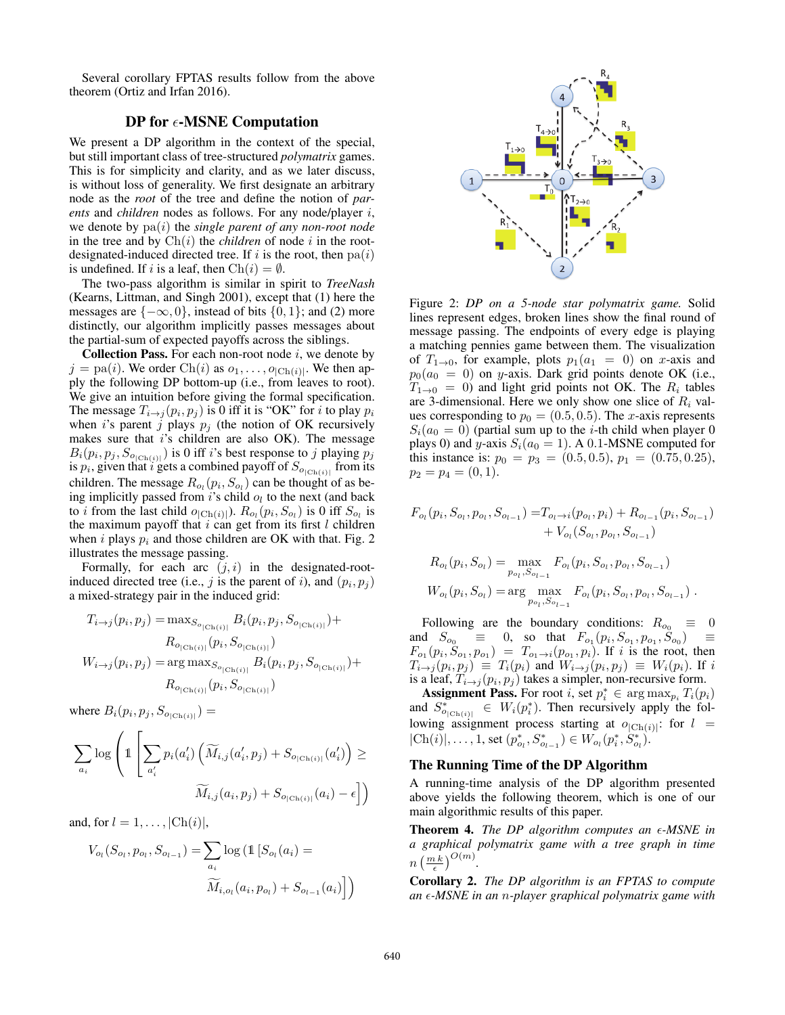Several corollary FPTAS results follow from the above theorem (Ortiz and Irfan 2016).

# DP for  $\epsilon$ -MSNE Computation

We present a DP algorithm in the context of the special, but still important class of tree-structured *polymatrix* games. This is for simplicity and clarity, and as we later discuss, is without loss of generality. We first designate an arbitrary node as the *root* of the tree and define the notion of *parents* and *children* nodes as follows. For any node/player i, we denote by pa(i) the *single parent of any non-root node* in the tree and by  $\text{Ch}(i)$  the *children* of node i in the rootdesignated-induced directed tree. If i is the root, then  $pa(i)$ is undefined. If i is a leaf, then  $\text{Ch}(i) = \emptyset$ .

The two-pass algorithm is similar in spirit to *TreeNash* (Kearns, Littman, and Singh 2001), except that (1) here the messages are  $\{-\infty, 0\}$ , instead of bits  $\{0, 1\}$ ; and (2) more distinctly, our algorithm implicitly passes messages about the partial-sum of expected payoffs across the siblings.

**Collection Pass.** For each non-root node  $i$ , we denote by  $j = pa(i)$ . We order Ch(i) as  $o_1, \ldots, o_{|Ch(i)|}$ . We then apply the following DP bottom-up (i.e., from leaves to root). We give an intuition before giving the formal specification. The message  $T_{i\rightarrow j}(p_i, p_j)$  is 0 iff it is "OK" for i to play  $p_i$ when i's parent j plays  $p_i$  (the notion of OK recursively makes sure that  $i$ 's children are also OK). The message  $B_i(p_i, p_j, S_{o_{|\text{Ch}(i)|}})$  is 0 iff *i*'s best response to *j* playing  $p_j$  is  $p_i$ , given that *i* gets a combined payoff of  $S_{o_{|\text{Ch}(i)|}}$  from its children. The message  $R_{o_l}(p_i, S_{o_l})$  can be thought of as being implicitly passed from  $i$ 's child  $o_l$  to the next (and back to *i* from the last child  $o_{|Ch(i)|}$ ).  $R_{o_l}(p_i, S_{o_l})$  is 0 iff  $S_{o_l}$  is the maximum payoff that  $i$  can get from its first  $l$  children when i plays  $p_i$  and those children are OK with that. Fig. 2 illustrates the message passing.

Formally, for each arc  $(j, i)$  in the designated-rootinduced directed tree (i.e., j is the parent of i), and  $(p_i, p_j)$ a mixed-strategy pair in the induced grid:

$$
T_{i \to j}(p_i, p_j) = \max_{S_{o_{|\text{Ch}(i)|}}} B_i(p_i, p_j, S_{o_{|\text{Ch}(i)|}}) +
$$
  

$$
R_{o_{|\text{Ch}(i)|}}(p_i, S_{o_{|\text{Ch}(i)|}})
$$
  

$$
W_{i \to j}(p_i, p_j) = \arg \max_{S_{o_{|\text{Ch}(i)|}}} B_i(p_i, p_j, S_{o_{|\text{Ch}(i)|}}) +
$$
  

$$
R_{o_{|\text{Ch}(i)|}}(p_i, S_{o_{|\text{Ch}(i)|}})
$$

where  $B_i(p_i, p_j, S_{o_{|Ch(i)|}}) =$ 

$$
\sum_{a_i} \log \left( \mathbb{1} \left[ \sum_{a'_i} p_i(a'_i) \left( \widetilde{M}_{i,j}(a'_i, p_j) + S_{o_{|\text{Ch}(i)|}}(a'_i) \right) \geq \right] \right)
$$

$$
\widetilde{M}_{i,j}(a_i, p_j) + S_{o_{|\text{Ch}(i)|}}(a_i) - \epsilon \right)
$$

and, for  $l = 1, \ldots, |\text{Ch}(i)|$ ,

$$
V_{o_l}(S_{o_l}, p_{o_l}, S_{o_{l-1}}) = \sum_{a_i} \log (\mathbb{1} [S_{o_l}(a_i) = \widetilde{M}_{i,o_l}(a_i, p_{o_l}) + S_{o_{l-1}}(a_i)]
$$



Figure 2: *DP on a 5-node star polymatrix game.* Solid lines represent edges, broken lines show the final round of message passing. The endpoints of every edge is playing a matching pennies game between them. The visualization of  $T_{1\rightarrow 0}$ , for example, plots  $p_1(a_1 = 0)$  on x-axis and  $p_0(a_0 = 0)$  on y-axis. Dark grid points denote OK (i.e.,  $T_{1 \to 0} = 0$ ) and light grid points not OK. The *R<sub>i</sub>* tables  $T_{1\rightarrow 0} = 0$  and light grid points not OK. The  $R_i$  tables are 3-dimensional. Here we only show one slice of  $R_i$  valare 3-dimensional. Here we only show one slice of  $R_i$  values corresponding to  $p_0 = (0.5, 0.5)$ . The x-axis represents  $S_i(a_0 = 0)$  (partial sum up to the *i*-th child when player 0 plays 0) and y-axis  $S_i(a_0 = 1)$ . A 0.1-MSNE computed for this instance is:  $p_0 = p_3 = (0.5, 0.5), p_1 = (0.75, 0.25),$  $p_2 = p_4 = (0, 1).$ 

$$
F_{o_l}(p_i, S_{o_l}, p_{o_l}, S_{o_{l-1}}) = T_{o_l \to i}(p_{o_l}, p_i) + R_{o_{l-1}}(p_i, S_{o_{l-1}}) + V_{o_l}(S_{o_l}, p_{o_l}, S_{o_{l-1}}) R_{o_l}(p_i, S_{o_l}) = \max_{p_{o_l}, S_{o_{l-1}}} F_{o_l}(p_i, S_{o_l}, p_{o_l}, S_{o_{l-1}}) W_{o_l}(p_i, S_{o_l}) = \arg \max_{p_{o_l}, S_{o_{l-1}}} F_{o_l}(p_i, S_{o_l}, p_{o_l}, S_{o_{l-1}}).
$$

Following are the boundary conditions:  $R_{oo} \equiv 0$ <br>d  $S_1 = 0$  so that  $F_1$   $(n_1 S_1, n_2 S_2) =$ and  $S_{o_0} \equiv 0$ , so that  $F_{o_1}(p_i, S_{o_1}, p_{o_1}, \widetilde{S}_{o_0}) \equiv F_{o_1}(p_i, S_{o_1}, p_{o_1}, \widetilde{S}_{o_0}) = F_{o_1}(p_i, p_{o_1})$  if i is the root then  $F_{o_1}(p_i, \breve{S}_{o_1}, p_{o_1}) = T_{o_1 \to i}(p_{o_1}, p_i)$ . If i is the root, then<br>  $T_{\cdots}(p_i, p_j) = T_{\cdots}(p_i)$  and  $W_{\cdots}(p_i, p_j) = W_{\cdots}(p_j)$ . If i  $T_{i\rightarrow j}(p_i, p_j) \equiv T_i(p_i)$  and  $W_{i\rightarrow j}(p_i, p_j) \equiv W_i(p_i)$ . If it is a leaf  $T_{i\rightarrow j}(p_i, p_j)$  is a leaf  $T_{i\rightarrow j}(p_i, p_j)$  is a leaf in the set of the set of the set of the set of the set of the set of the set of the set of the set of is a leaf,  $T_{i\rightarrow j}(p_i, p_j)$  takes a simpler, non-recursive form.

**Assignment Pass.** For root *i*, set  $p_i^* \in \arg \max_{p_i} T_i(p_i)$ <br>d  $S^* \in W_i(p_i^*)$  Then recursively apply the foland  $S_{\phi_{\text{[Ch}(i)]}}^* \in W_i(p_i^*)$ . Then recursively apply the fol-<br>lowing assignment process starting at  $\phi$  is the lowlowing assignment process starting at  $o_{|Ch(i)|}$ : for  $l =$  $|Ch(i)|, \ldots, 1$ , set  $(p_{o_l}^*, S_{o_{l-1}}^*) \in W_{o_l}(p_i^*, S_{o_l}^*)$ .

### The Running Time of the DP Algorithm

A running-time analysis of the DP algorithm presented above yields the following theorem, which is one of our main algorithmic results of this paper.

Theorem 4. The DP algorithm computes an  $\epsilon$ -MSNE in *a graphical polymatrix game with a tree graph in time*  $n\left(\frac{m k}{\epsilon}\right)^{O(m)}.$ 

Corollary 2. *The DP algorithm is an FPTAS to compute an* -*-MSNE in an* n*-player graphical polymatrix game with*